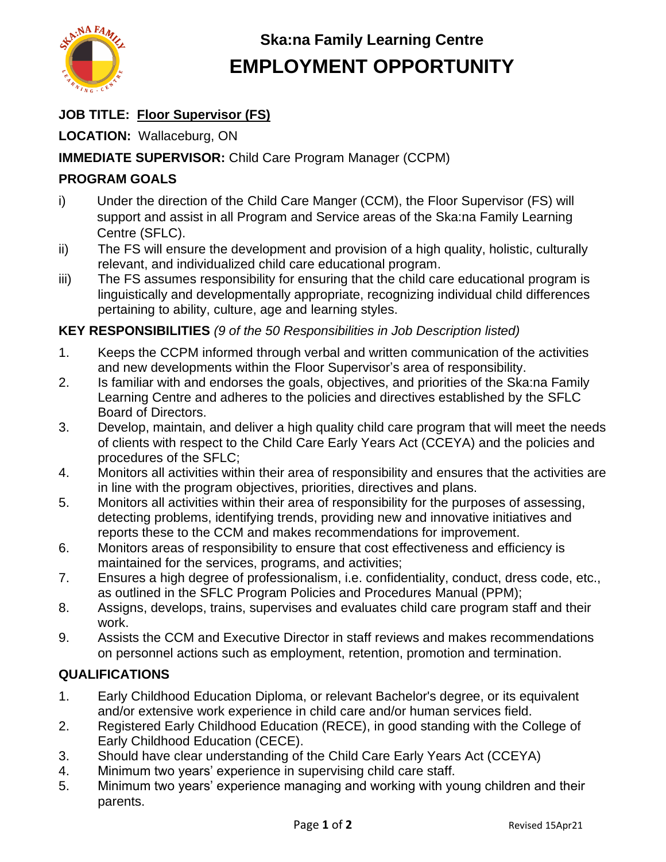

# **Ska:na Family Learning Centre EMPLOYMENT OPPORTUNITY**

### **JOB TITLE: Floor Supervisor (FS)**

**LOCATION:** Wallaceburg, ON

#### **IMMEDIATE SUPERVISOR:** Child Care Program Manager (CCPM)

### **PROGRAM GOALS**

- i) Under the direction of the Child Care Manger (CCM), the Floor Supervisor (FS) will support and assist in all Program and Service areas of the Ska:na Family Learning Centre (SFLC).
- ii) The FS will ensure the development and provision of a high quality, holistic, culturally relevant, and individualized child care educational program.
- iii) The FS assumes responsibility for ensuring that the child care educational program is linguistically and developmentally appropriate, recognizing individual child differences pertaining to ability, culture, age and learning styles.

#### **KEY RESPONSIBILITIES** *(9 of the 50 Responsibilities in Job Description listed)*

- 1. Keeps the CCPM informed through verbal and written communication of the activities and new developments within the Floor Supervisor's area of responsibility.
- 2. Is familiar with and endorses the goals, objectives, and priorities of the Ska:na Family Learning Centre and adheres to the policies and directives established by the SFLC Board of Directors.
- 3. Develop, maintain, and deliver a high quality child care program that will meet the needs of clients with respect to the Child Care Early Years Act (CCEYA) and the policies and procedures of the SFLC;
- 4. Monitors all activities within their area of responsibility and ensures that the activities are in line with the program objectives, priorities, directives and plans.
- 5. Monitors all activities within their area of responsibility for the purposes of assessing, detecting problems, identifying trends, providing new and innovative initiatives and reports these to the CCM and makes recommendations for improvement.
- 6. Monitors areas of responsibility to ensure that cost effectiveness and efficiency is maintained for the services, programs, and activities;
- 7. Ensures a high degree of professionalism, i.e. confidentiality, conduct, dress code, etc., as outlined in the SFLC Program Policies and Procedures Manual (PPM);
- 8. Assigns, develops, trains, supervises and evaluates child care program staff and their work.
- 9. Assists the CCM and Executive Director in staff reviews and makes recommendations on personnel actions such as employment, retention, promotion and termination.

#### **QUALIFICATIONS**

- 1. Early Childhood Education Diploma, or relevant Bachelor's degree, or its equivalent and/or extensive work experience in child care and/or human services field.
- 2. Registered Early Childhood Education (RECE), in good standing with the College of Early Childhood Education (CECE).
- 3. Should have clear understanding of the Child Care Early Years Act (CCEYA)
- 4. Minimum two years' experience in supervising child care staff.
- 5. Minimum two years' experience managing and working with young children and their parents.